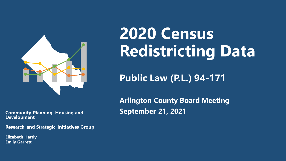

**Development**

**Research and Strategic Initiatives Group**

**Elizabeth Hardy Emily Garrett**

# **2020 Census Redistricting Data**

### **Public Law (P.L.) 94-171**

**Arlington County Board Meeting Community Planning, Housing and September 21, 2021**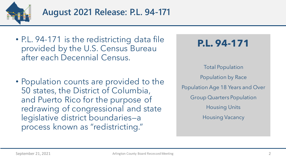

- P.L. 94-171 is the redistricting data file provided by the U.S. Census Bureau after each Decennial Census.
- Population counts are provided to the 50 states, the District of Columbia, and Puerto Rico for the purpose of redrawing of congressional and state legislative district boundaries—a process known as "redistricting."

**P.L. 94-171**

Total Population Population by Race Population Age 18 Years and Over Group Quarters Population Housing Units Housing Vacancy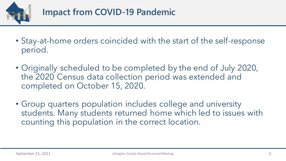

- Stay-at-home orders coincided with the start of the self-response period.
- Originally scheduled to be completed by the end of July 2020, the 2020 Census data collection period was extended and completed on October 15, 2020.
- Group quarters population includes college and university students. Many students returned home which led to issues with counting this population in the correct location.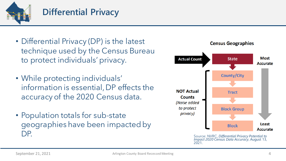

### **Differential Privacy**

- Differential Privacy (DP) is the latest technique used by the Census Bureau to protect individuals' privacy.
- While protecting individuals' information is essential, DP effects the accuracy of the 2020 Census data.
- Population totals for sub-state geographies have been impacted by DP.



Source: NVRC, *Differential Privacy Potential to Impact 2020 Census Data Accuracy*, August 13, 2021.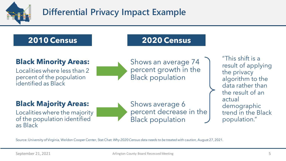

## **Differential Privacy Impact Example**

### **2010 Census**

### **2020 Census**

### **Black Minority Areas:**

Localities where less than 2 percent of the population identified as Black

Shows an average 74 percent growth in the Black population

result of applying the privacy algorithm to the data rather than the result of an actual demographic trend in the Black population."

"This shift is a

### **Black Majority Areas:**

Localities where the majority of the population identified as Black

Shows average 6 percent decrease in the Black population

Source: University of Virginia, Weldon Cooper Center, Stat Chat: *Why 2020 Census data needs to be treated with caution,* August 27, 2021.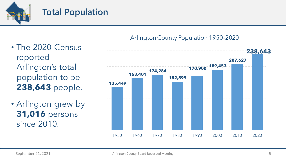

### **Total Population**

- The 2020 Census reported Arlington's total population to be **238,643** people.
- Arlington grew by **31,016** persons since 2010.

#### Arlington County Population 1950-2020

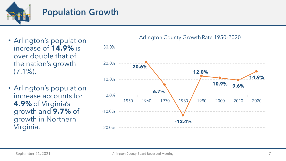

### **Population Growth**

- Arlington's population increase of **14.9%** is over double that of the nation's growth (7.1%).
- Arlington's population increase accounts for **4.9%** of Virginia's growth and **9.7%** of growth in Northern Virginia.

#### **20.6% 6.7% -12.4% 12.0% 10.9% 9.6% 14.9%** 1950 1960 1970 1980 1990 2000 2010 2020 -20.0% -10.0% 0.0% 10.0% 20.0% 30.0%

#### Arlington County Growth Rate 1950-2020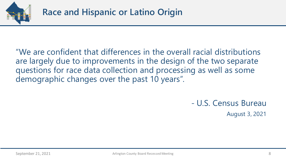

"We are confident that differences in the overall racial distributions are largely due to improvements in the design of the two separate questions for race data collection and processing as well as some demographic changes over the past 10 years".

> - U.S. Census Bureau August 3, 2021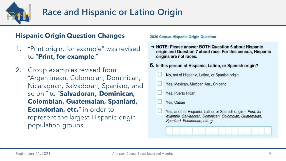

### **Race and Hispanic or Latino Origin**

#### **Hispanic Origin Question Changes**

- 1. "Print origin, for example" was revised to "**Print, for example**."
- 2. Group examples revised from "Argentinean, Colombian, Dominican, Nicaraguan, Salvadoran, Spaniard, and so on." to "**Salvadoran, Dominican, Colombian, Guatemalan, Spaniard, Ecuadorian, etc.**" in order to represent the largest Hispanic origin population groups.

#### **2020 Census Hispanic Origin Question**

→ NOTE: Please answer BOTH Question 6 about Hispanic origin and Question 7 about race. For this census, Hispanic origins are not races.

#### 6. Is this person of Hispanic, Latino, or Spanish origin?

- No, not of Hispanic, Latino, or Spanish origin
- Yes, Mexican, Mexican Am., Chicano
- Yes, Puerto Rican
- Yes, Cuban
- Yes, another Hispanic, Latino, or Spanish origin Print, for example, Salvadoran, Dominican, Colombian, Guatemalan, Spaniard, Ecuadorian, etc.  $\overline{\chi}$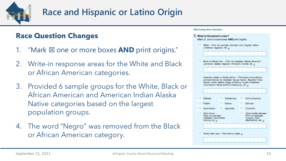

## **Race and Hispanic or Latino Origin**

### **Race Question Changes**

- 1. "Mark ⊠ one or more boxes **AND** print origins."
- 2. Write-in response areas for the White and Black or African American categories.
- 3. Provided 6 sample groups for the White, Black or African American and American Indian Alaska Native categories based on the largest population groups.
- 4. The word "Negro" was removed from the Black or African American category.

#### **2020 Census Race Question**

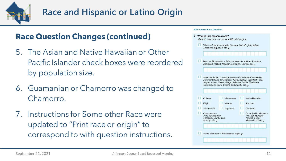

### **Race Question Changes (continued)**

- 5. The Asian and Native Hawaiian or Other Pacific Islander check boxes were reordered by population size.
- 6. Guamanian or Chamorro was changed to Chamorro.
- 7. Instructions for Some other Race were updated to "Print race or origin" to correspond to with question instructions.

#### **2020 Census Race Question**

| Lebanese, Egyptian, etc. $\overline{z}$                                                                         |            |                                                                                                                                  |
|-----------------------------------------------------------------------------------------------------------------|------------|----------------------------------------------------------------------------------------------------------------------------------|
| Black or African Am. - Print, for example, African American,                                                    |            |                                                                                                                                  |
| Jamaican, Haitian, Nigerian, Ethiopian, Somali, etc. $\overline{z}$                                             |            |                                                                                                                                  |
|                                                                                                                 |            | American Indian or Alaska Native - Print name of enrolled or<br>principal tribe(s), for example, Navajo Nation, Blackfeet Tribe, |
| Mayan, Aztec, Native Village of Barrow Inupiat Traditional<br>Government, Nome Eskimo Community, etc. $\bar{z}$ |            |                                                                                                                                  |
| Chinese                                                                                                         | Vietnamese | Native Hawaiian                                                                                                                  |
| Filipino                                                                                                        | Korean     | Samoan                                                                                                                           |
| Asian Indian                                                                                                    | Japanese   | Chamorro                                                                                                                         |
| Other Asian -<br>Print, for example,<br>Pakistani, Cambodian,<br>Hmong, etc. $\overline{\mathcal{L}}$           |            | Other Pacific Islander -<br>Print, for example,<br>Tongan, Fijian,<br>Marshallese, etc. $\overline{z}$                           |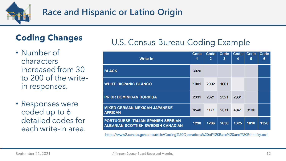

## **Race and Hispanic or Latino Origin**

## **Coding Changes**

- Number of characters increased from 30 to 200 of the writein responses.
- Responses were coded up to 6 detailed codes for each write-in area.

### U.S. Census Bureau Coding Example

| <b>Write-in</b>                                                                        | Code<br>1 | Code<br>$\overline{2}$ | Code<br>3 | Code<br>4 | Code<br>5 | Code<br>6 |
|----------------------------------------------------------------------------------------|-----------|------------------------|-----------|-----------|-----------|-----------|
| <b>BLACK</b>                                                                           | 3020      |                        |           |           |           |           |
| <b>WHITE HISPANIC BLANCO</b>                                                           | 1001      | 2002                   | 1001      |           |           |           |
| <b>PR DR DOMINICAN BORICUA</b>                                                         | 2331      | 2321                   | 2321      | 2331      |           |           |
| <b>MIXED GERMAN MEXICAN JAPANESE</b><br><b>AFRICAN</b>                                 | 8540      | 1171                   | 2011      | 4041      | 3100      |           |
| <b>PORTUGUESE ITALIAN SPANISH SERBIAN</b><br><b>ALBANIAN SCOTTISH SWEDISH CANADIAN</b> | 1290      | 1206                   | 2630      | 1325      | 1010      | 1320      |

<https://www2.census.gov/about/cic/Coding%20Operations%20of%20Race%20and%20Ethnicity.pdf>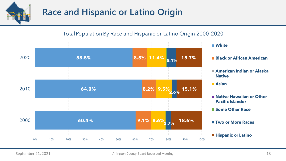

### **Race and Hispanic or Latino Origin**

#### TotalPopulation By Race and Hispanic or Latino Origin 2000-2020



## **White**

- 
- **American Indian or Alaska Native**
- **Asian**
- **Native Hawaiian or Other Pacific Islander**
- **Some Other Race**
- **Two or More Races**
- **Hispanic or Latino**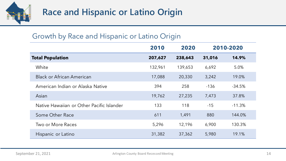

### Growth by Race and Hispanic or Latino Origin

|                                           | 2010    | 2020    |        | 2010-2020 |
|-------------------------------------------|---------|---------|--------|-----------|
| <b>Total Population</b>                   | 207,627 | 238,643 | 31,016 | 14.9%     |
| White                                     | 132,961 | 139,653 | 6,692  | 5.0%      |
| <b>Black or African American</b>          | 17,088  | 20,330  | 3,242  | 19.0%     |
| American Indian or Alaska Native          | 394     | 258     | $-136$ | $-34.5%$  |
| Asian                                     | 19,762  | 27,235  | 7,473  | 37.8%     |
| Native Hawaiian or Other Pacific Islander | 133     | 118     | $-15$  | $-11.3%$  |
| Some Other Race                           | 611     | 1,491   | 880    | 144.0%    |
| Two or More Races                         | 5,296   | 12,196  | 6,900  | 130.3%    |
| Hispanic or Latino                        | 31,382  | 37,362  | 5,980  | 19.1%     |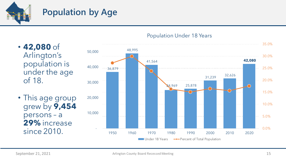

- **42,080** of Arlington's population is under the age of 18.
- This age group grew by **9,454**  persons – a **29%** increase since 2010.



#### Population Under 18 Years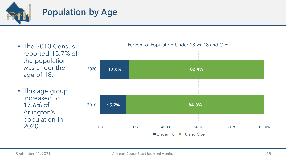

- The 2010 Census reported 15.7% of the population was under the age of 18.
- This age group increased to 17.6% of Arlington's population in 2020.



#### Percent of Population Under 18 vs. 18 and Over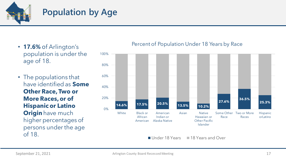

- **17.6%** of Arlington's population is under the age of 18.
- The populations that have identified as **Some Other Race, Two or More Races, or of Hispanic or Latino Origin** have much higher percentages of persons under the age of 18.

#### Percent of Population Under 18 Years by Race



Under 18 Years 18 Years and Over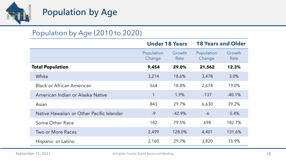

### Population by Age (2010 to 2020)

|                                           | <b>Under 18 Years</b> |                |                      | <b>18 Years and Older</b> |
|-------------------------------------------|-----------------------|----------------|----------------------|---------------------------|
|                                           | Population<br>Change  | Growth<br>Rate | Population<br>Change | Growth<br>Rate            |
| <b>Total Population</b>                   | 9,454                 | 29.0%          | 21,562               | 12.3%                     |
| White                                     | 3,214                 | 18.6%          | 3,478                | 3.0%                      |
| <b>Black or African American</b>          | 564                   | 18.8%          | 2,678                | 19.0%                     |
| American Indian or Alaska Native          | 1                     | 1.9%           | $-137$               | $-40.1%$                  |
| Asian                                     | 843                   | 29.7%          | 6,630                | 39.2%                     |
| Native Hawaiian or Other Pacific Islander | $-9$                  | $-42.9%$       | $-6$                 | $-5.4%$                   |
| Some Other Race                           | 182                   | 79.5%          | 698                  | 182.7%                    |
| <b>Two or More Races</b>                  | 2,499                 | 128.0%         | 4,401                | 131.6%                    |
| Hispanic or Latino                        | 2,160                 | 29.7%          | 3,820                | 15.9%                     |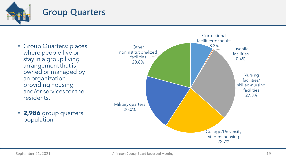

- Group Quarters: places where people live or stay in a group living arrangement that is owned or managed by an organization providing housing and/or services for the residents.
- **2,986** group quarters population

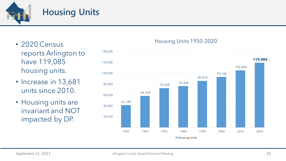

### **Housing Units**

- 2020 Census reports Arlington to have 119,085 housing units.
- Increase in 13,681 units since 2010.
- Housing units are invariant and NOT impacted by DP.

#### 41,189 58,334  $-72,568$   $-26,304$ 85,872 93,145 105,404 **119,085**  - 20,000 40,000 60,000 80,000 100,000 120,000 140,000 1950 1960 1970 1980 1990 2000 2010 2020 **Housing Units**

#### Housing Units 1950-2020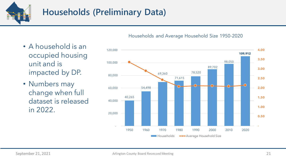

## **Households (Preliminary Data)**

- A household is an occupied housing unit and is impacted by DP.
- Numbers may change when full dataset is released in 2022.

Households and Average Household Size 1950-2020

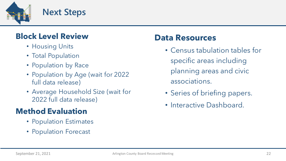![](_page_21_Picture_0.jpeg)

### **Block Level Review**

- Housing Units
- Total Population
- Population by Race
- Population by Age (wait for 2022 full data release)
- Average Household Size (wait for 2022 full data release)

### **Method Evaluation**

- Population Estimates
- Population Forecast

### **Data Resources**

- Census tabulation tables for specific areas including planning areas and civic associations.
- Series of briefing papers.
- Interactive Dashboard.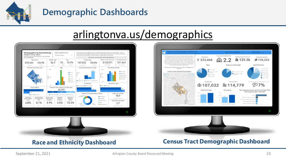![](_page_22_Picture_0.jpeg)

### **Demographic Dashboards**

## arlingtonva.us/demographics

![](_page_22_Figure_3.jpeg)

![](_page_22_Figure_4.jpeg)

![](_page_22_Picture_5.jpeg)

#### **Race and Ethnicity Dashboard Census Tract Demographic Dashboard**